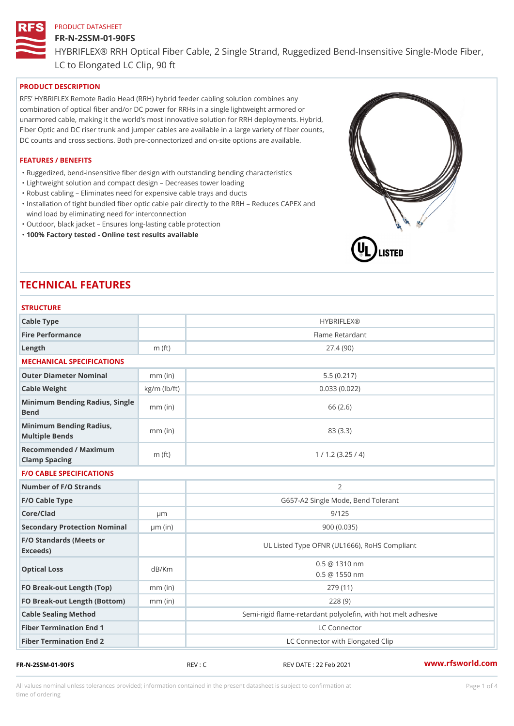## FR-N-2SSM-01-90FS

HYBRIFLEX® RRH Optical Fiber Cable, 2 Single Strand, Ruggedized Be

LC to Elongated LC Clip, 90 ft

## PRODUCT DESCRIPTION

RFS HYBRIFLEX Remote Radio Head (RRH) hybrid feeder cabling solution combines any combination of optical fiber and/or DC power for RRHs in a single lightweight armored or unarmored cable, making it the world s most innovative solution for RRH deployments. Hybrid, Fiber Optic and DC riser trunk and jumper cables are available in a large variety of fiber counts, DC counts and cross sections. Both pre-connectorized and on-site options are available.

## FEATURES / BENEFITS

"Ruggedized, bend-insensitive fiber design with outstanding bending characteristics

- "Lightweight solution and compact design Decreases tower loading
- "Robust cabling Eliminates need for expensive cable trays and ducts
- "Installation of tight bundled fiber optic cable pair directly to the RRH Aeduces CAPEX and wind load by eliminating need for interconnection
- "Outdoor, black jacket Ensures long-lasting cable protection
- "100% Factory tested Online test results available

# TECHNICAL FEATURES

## STRUCTURE

| 3 I N U U I U N L                                 |                    |                                                                         |
|---------------------------------------------------|--------------------|-------------------------------------------------------------------------|
| Cable Type                                        |                    | <b>HYBRIFLEX®</b>                                                       |
| Fire Performance                                  |                    | Flame Retardant                                                         |
| Length                                            | $m$ (ft)           | 27.4(90)                                                                |
| MECHANICAL SPECIFICATIONS                         |                    |                                                                         |
| Outer Diameter Nominal                            | $mm$ (in)          | 5.5(0.217)                                                              |
| Cable Weight                                      | $kg/m$ ( $lb/ft$ ) | 0.033(0.022)                                                            |
| Minimum Bending Radius, Single<br>Bend            |                    | 66 (2.6)                                                                |
| Minimum Bending Radius, mm (in)<br>Multiple Bends |                    | 83 (3.3)                                                                |
| Recommended / Maximum<br>Clamp Spacing            | $m$ (ft)           | 1 / 1.2 (3.25 / 4)                                                      |
| <b>F/O CABLE SPECIFICATIONS</b>                   |                    |                                                                         |
| Number of F/O Strands                             |                    | 2                                                                       |
| F/O Cable Type                                    |                    | G657-A2 Single Mode, Bend Tolerant                                      |
| Core/Clad                                         | $\mu$ m            | 9/125                                                                   |
| Secondary Protection Nomimal(in)                  |                    | 900(0.035)                                                              |
| F/O Standards (Meets or<br>Exceeds)               |                    | UL Listed Type OFNR (UL1666), RoHS Compliant                            |
| Optical Loss                                      | dB/Km              | 0.5 @ 1310 nm<br>$0.5 \t@ 1550 nm$                                      |
| FO Break-out Length (Top)mm (in)                  |                    | 279 (11)                                                                |
| FO Break-out Length (Bottmm) (in)                 |                    | 228(9)                                                                  |
|                                                   |                    |                                                                         |
| Cable Sealing Method                              |                    |                                                                         |
| Fiber Termination End                             |                    | Semi-rigid flame-retardant polyolefin, with hot melt ad<br>LC Connector |

All values nominal unless tolerances provided; information contained in the present datasheet is subject to Pcapgeligimation time of ordering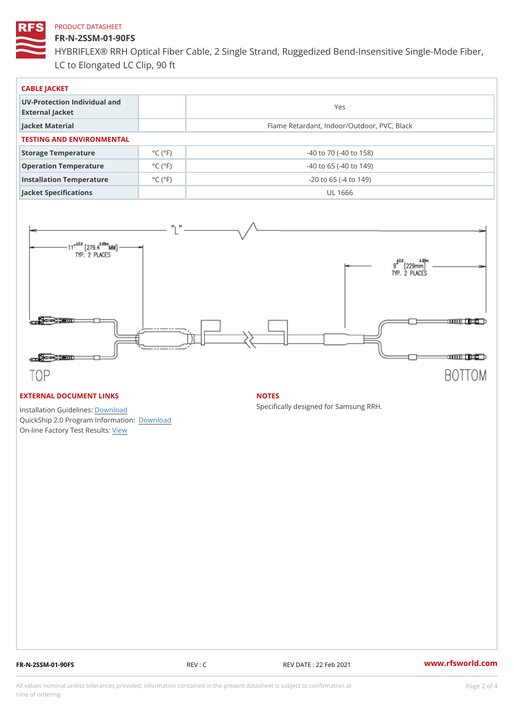## FR-N-2SSM-01-90FS

HYBRIFLEX® RRH Optical Fiber Cable, 2 Single Strand, Ruggedized Be LC to Elongated LC Clip, 90 ft

| CABLE JACKET                                    |                             |                                             |  |  |  |
|-------------------------------------------------|-----------------------------|---------------------------------------------|--|--|--|
| UV-Protection Individual and<br>External Jacket |                             | Yes                                         |  |  |  |
| Jacket Material                                 |                             | Flame Retardant, Indoor/Outdoor, PVC, Black |  |  |  |
| TESTING AND ENVIRONMENTAL                       |                             |                                             |  |  |  |
| Storage Temperature                             | $^{\circ}$ C ( $^{\circ}$ F | $-40$ to $70$ ( $-40$ to $158$ )            |  |  |  |
| Operation Temperature                           | $^{\circ}$ C ( $^{\circ}$ F | $-40$ to 65 ( $-40$ to 149)                 |  |  |  |
| Installation Temperature                        | $^{\circ}$ C ( $^{\circ}$ F | $-20$ to 65 ( $-4$ to 149)                  |  |  |  |
| Jacket Specifications                           |                             | UL 1666                                     |  |  |  |

## EXTERNAL DOCUMENT LINKS

Installation Guidelwinessad QuickShip 2.0 Program IDfoormlation: On-line Factory Te[s](https://www.rfsworld.com/pictures/userfiles/programs/AAST Latest Version.zip)teResults:

#### NOTES

Specifically designed for Samsung RRH.

FR-N-2SSM-01-90FS REV : C REV DATE : 22 Feb 2021 [www.](https://www.rfsworld.com)rfsworld.com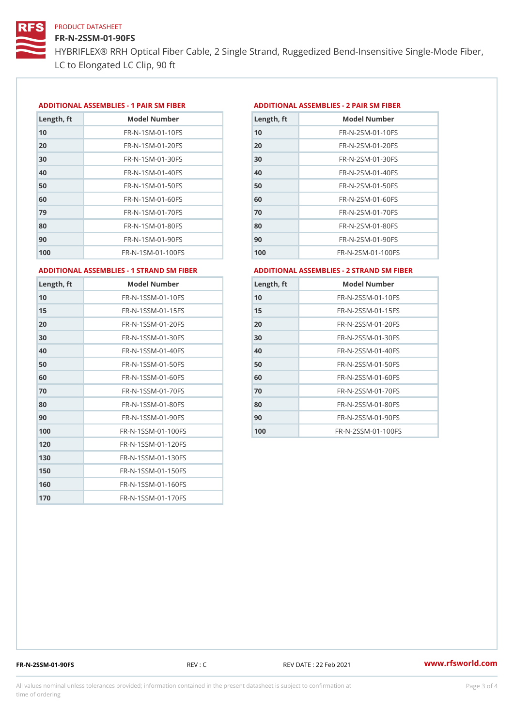## FR-N-2SSM-01-90FS

HYBRIFLEX® RRH Optical Fiber Cable, 2 Single Strand, Ruggedized Be LC to Elongated LC Clip, 90 ft

#### ADDITIONAL ASSEMBLIES - 1 PAIR SM FIBERED DITIONAL ASSEMBLIES - 2 PAIR SM FIBER

| Length, ft | Model Number                   |
|------------|--------------------------------|
| 10         | $FR - N - 1$ S M - 01 - 10 F S |
| 20         | FR-N-1SM-01-20FS               |
| 30         | FR-N-1SM-01-30FS               |
| 40         | $FR - N - 1$ S M - 01 - 40 F S |
| 50         | $FR - N - 1$ S M - 01 - 50 F S |
| 60         | $FR - N - 1$ SM - 01 - 60 F S  |
| 79         | FR-N-1SM-01-70FS               |
| 80         | $FR - N - 1$ SM - 01 - 80 F S  |
| 90         | $FR - N - 1$ S M - 01 - 90 F S |
| 100        | FR-N-1SM-01-100FS              |

| Length, ft | Model Number                   |
|------------|--------------------------------|
| 10         | FR-N-2SM-01-10FS               |
| 20         | FR-N-2SM-01-20FS               |
| 30         | FR-N-2SM-01-30FS               |
| 40         | FR-N-2SM-01-40FS               |
| 50         | $FR - N - 2 S M - 01 - 50 F S$ |
| 60         | $FR - N - 2 S M - 01 - 60 F S$ |
| 70         | FR-N-2SM-01-70FS               |
| 80         | $FR - N - 2 S M - 01 - 80 F S$ |
| 90         | FR-N-2SM-01-90FS               |
| 100        | $FR - N - 2 SM - 01 - 100 FS$  |
|            |                                |

#### ADDITIONAL ASSEMBLIES - 1 STRAND SM FABSDRTIONAL ASSEMBLIES - 2 STRAND SM FIBER

| Length, ft | Model Number       |
|------------|--------------------|
| 10         | FR-N-1SSM-01-10FS  |
| 15         | FR-N-1SSM-01-15FS  |
| 20         | FR-N-1SSM-01-20FS  |
| 30         | FR-N-1SSM-01-30FS  |
| 40         | FR-N-1SSM-01-40FS  |
| 50         | FR-N-1SSM-01-50FS  |
| 60         | FR-N-1SSM-01-60FS  |
| 70         | FR-N-1SSM-01-70FS  |
| 80         | FR-N-1SSM-01-80FS  |
| 90         | FR-N-1SSM-01-90FS  |
| 100        | FR-N-1SSM-01-100FS |
| 120        | FR-N-1SSM-01-120FS |
| 130        | FR-N-1SSM-01-130FS |
| 150        | FR-N-1SSM-01-150FS |
| 160        | FR-N-1SSM-01-160FS |
| 170        | FR-N-1SSM-01-170FS |

| Length, ft | Model Number                |
|------------|-----------------------------|
| 10         | FR-N-2SSM-01-10FS           |
| 15         | FR-N-2SSM-01-15FS           |
| 20         | FR-N-2SSM-01-20FS           |
| 30         | FR-N-2SSM-01-30FS           |
| 40         | FR-N-2SSM-01-40FS           |
| 50         | FR-N-2SSM-01-50FS           |
| 60         | $FR - N - 2SSM - 01 - 60FS$ |
| 70         | FR-N-2SSM-01-70FS           |
| 80         | FR-N-2SSM-01-80FS           |
| 90         | FR-N-2SSM-01-90FS           |
| 100        | FR-N-2SSM-01-100FS          |

FR-N-2SSM-01-90FS REV : C REV DATE : 22 Feb 2021 [www.](https://www.rfsworld.com)rfsworld.com

All values nominal unless tolerances provided; information contained in the present datasheet is subject to Pcapgeling that i time of ordering